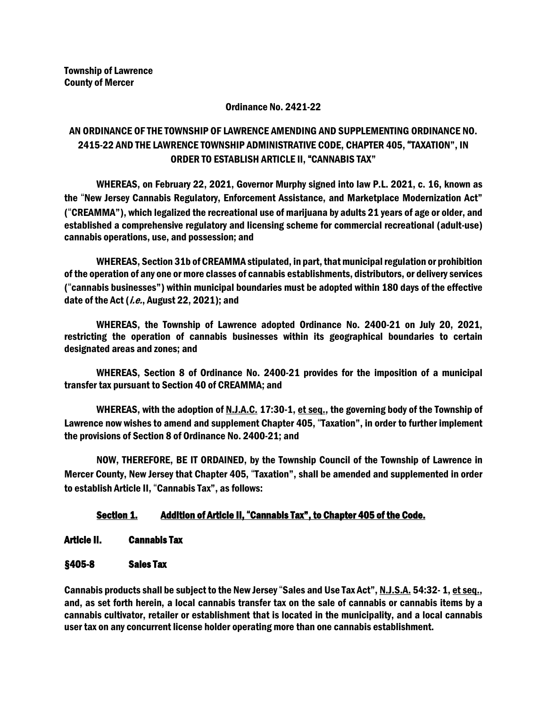#### Ordinance No. 2421-22

# AN ORDINANCE OF THE TOWNSHIP OF LAWRENCE AMENDING AND SUPPLEMENTING ORDINANCE NO. 2415-22 AND THE LAWRENCE TOWNSHIP ADMINISTRATIVE CODE, CHAPTER 405, "TAXATION", IN ORDER TO ESTABLISH ARTICLE II, "CANNABIS TAX"

WHEREAS, on February 22, 2021, Governor Murphy signed into law P.L. 2021, c. 16, known as the "New Jersey Cannabis Regulatory, Enforcement Assistance, and Marketplace Modernization Act" ("CREAMMA"), which legalized the recreational use of marijuana by adults 21 years of age or older, and established a comprehensive regulatory and licensing scheme for commercial recreational (adult-use) cannabis operations, use, and possession; and

WHEREAS, Section 31b of CREAMMA stipulated, in part, thatmunicipal regulation or prohibition of the operation of any one or more classes of cannabis establishments, distributors, or delivery services ("cannabis businesses") within municipal boundaries must be adopted within 180 days of the effective date of the Act (*i.e.*, August 22, 2021); and

WHEREAS, the Township of Lawrence adopted Ordinance No. 2400-21 on July 20, 2021, restricting the operation of cannabis businesses within its geographical boundaries to certain designated areas and zones; and

WHEREAS, Section 8 of Ordinance No. 2400-21 provides for the imposition of a municipal transfer tax pursuant to Section 40 of CREAMMA; and

WHEREAS, with the adoption of N.J.A.C. 17:30-1, et seq., the governing body of the Township of Lawrence now wishes to amend and supplement Chapter 405, "Taxation", in order to further implement the provisions of Section 8 of Ordinance No. 2400-21; and

NOW, THEREFORE, BE IT ORDAINED, by the Township Council of the Township of Lawrence in Mercer County, New Jersey that Chapter 405, "Taxation", shall be amended and supplemented in order to establish Article II, "Cannabis Tax", as follows:

## Section 1. Addition of Article II, "Cannabis Tax", to Chapter 405 of the Code.

- Article II. Cannabis Tax
- §405-8 Sales Tax

Cannabis products shall be subject to the New Jersey "Sales and Use Tax Act", N.J.S.A. 54:32- 1, et seq., and, as set forth herein, a local cannabis transfer tax on the sale of cannabis or cannabis items by a cannabis cultivator, retailer or establishment that is located in the municipality, and a local cannabis user tax on any concurrent license holder operating more than one cannabis establishment.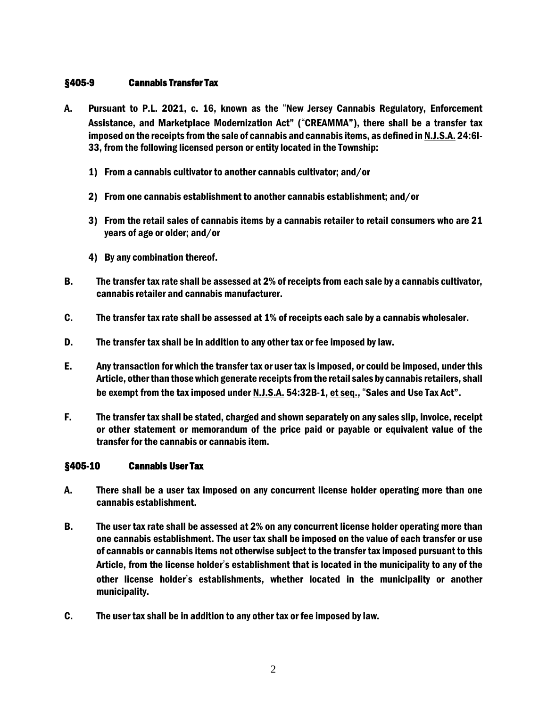### §405-9 Cannabis Transfer Tax

- A. Pursuant to P.L. 2021, c. 16, known as the "New Jersey Cannabis Regulatory, Enforcement Assistance, and Marketplace Modernization Act" ("CREAMMA"), there shall be a transfer tax imposed on the receipts from the sale of cannabis and cannabis items, as defined in N.J.S.A. 24:6I-33, from the following licensed person or entity located in the Township:
	- 1) From a cannabis cultivator to another cannabis cultivator; and/or
	- 2) From one cannabis establishment to another cannabis establishment; and/or
	- 3) From the retail sales of cannabis items by a cannabis retailer to retail consumers who are 21 years of age or older; and/or
	- 4) By any combination thereof.
- B. The transfer taxrate shall be assessed at 2% of receipts from each sale by a cannabis cultivator, cannabis retailer and cannabis manufacturer.
- C. The transfer tax rate shall be assessed at 1% of receipts each sale by a cannabis wholesaler.
- D. The transfer tax shall be in addition to any other tax or fee imposed by law.
- E. Any transaction for which the transfer tax or user taxis imposed, or could be imposed, under this Article, otherthan thosewhich generate receipts fromthe retail sales by cannabis retailers, shall be exempt from the tax imposed under N.J.S.A. 54:32B-1, et seq., "Sales and Use Tax Act".
- F. The transfer tax shall be stated, charged and shown separately on any sales slip, invoice, receipt or other statement or memorandum of the price paid or payable or equivalent value of the transfer for the cannabis or cannabis item.

### §405-10 Cannabis User Tax

- A. There shall be a user tax imposed on any concurrent license holder operating more than one cannabis establishment.
- B. The user tax rate shall be assessed at 2% on any concurrent license holder operating more than one cannabis establishment. The user tax shall be imposed on the value of each transfer or use of cannabis or cannabis items not otherwise subject to the transfer taximposed pursuant to this Article, from the license holder's establishment that is located in the municipality to any of the other license holder's establishments, whether located in the municipality or another municipality.
- C. The user tax shall be in addition to any other tax or fee imposed by law.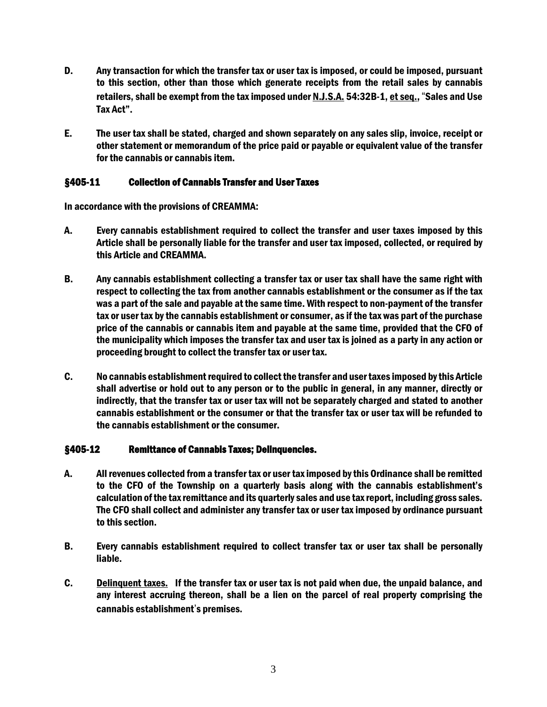- D. Any transaction for which the transfer tax or user tax is imposed, or could be imposed, pursuant to this section, other than those which generate receipts from the retail sales by cannabis retailers, shall be exempt from the tax imposed under N.J.S.A. 54:32B-1, et seq., "Sales and Use Tax Act".
- E. The user tax shall be stated, charged and shown separately on any sales slip, invoice, receipt or other statement or memorandum of the price paid or payable or equivalent value of the transfer for the cannabis or cannabis item.

### §405-11 Collection of Cannabis Transfer and User Taxes

In accordance with the provisions of CREAMMA:

- A. Every cannabis establishment required to collect the transfer and user taxes imposed by this Article shall be personally liable for the transfer and user tax imposed, collected, or required by this Article and CREAMMA.
- B. Any cannabis establishment collecting a transfer tax or user tax shall have the same right with respect to collecting the tax from another cannabis establishment or the consumer as if the tax was a part of the sale and payable at the same time. With respect to non-payment of the transfer tax or user tax by the cannabis establishment or consumer, as if the tax was part of the purchase price of the cannabis or cannabis item and payable at the same time, provided that the CFO of the municipality which imposes the transfer tax and user tax is joined as a party in any action or proceeding brought to collect the transfer tax or user tax.
- C. No cannabis establishment required to collect the transfer and user taxes imposed by this Article shall advertise or hold out to any person or to the public in general, in any manner, directly or indirectly, that the transfer tax or user tax will not be separately charged and stated to another cannabis establishment or the consumer or that the transfer tax or user tax will be refunded to the cannabis establishment or the consumer.

### §405-12 Remittance of Cannabis Taxes; Delinquencies.

- A. All revenues collected froma transfer tax or user taximposed bythis Ordinance shall be remitted to the CFO of the Township on a quarterly basis along with the cannabis establishment's calculation ofthe taxremittance and its quarterly sales and use taxreport, including gross sales. The CFO shall collect and administer any transfer tax or user tax imposed by ordinance pursuant to this section.
- B. Every cannabis establishment required to collect transfer tax or user tax shall be personally liable.
- C. Delinquent taxes. If the transfer tax or user tax is not paid when due, the unpaid balance, and any interest accruing thereon, shall be a lien on the parcel of real property comprising the cannabis establishment's premises.